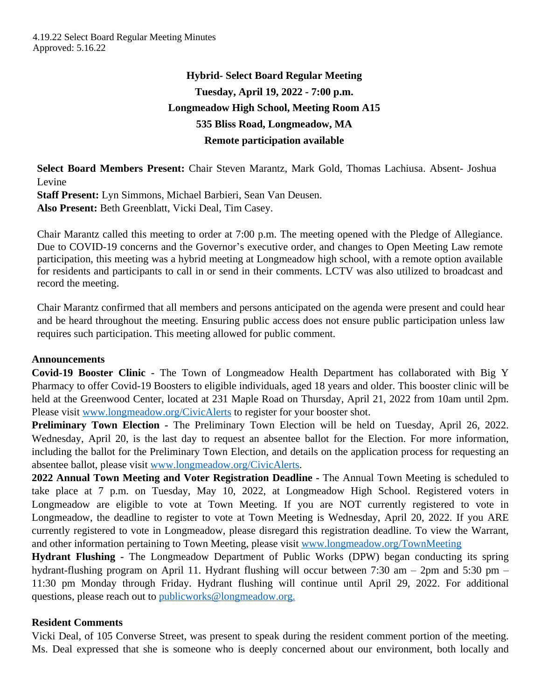# **Hybrid- Select Board Regular Meeting Tuesday, April 19, 2022 - 7:00 p.m. Longmeadow High School, Meeting Room A15 535 Bliss Road, Longmeadow, MA Remote participation available**

**Select Board Members Present:** Chair Steven Marantz, Mark Gold, Thomas Lachiusa. Absent- Joshua Levine

**Staff Present:** Lyn Simmons, Michael Barbieri, Sean Van Deusen. **Also Present:** Beth Greenblatt, Vicki Deal, Tim Casey.

Chair Marantz called this meeting to order at 7:00 p.m. The meeting opened with the Pledge of Allegiance. Due to COVID-19 concerns and the Governor's executive order, and changes to Open Meeting Law remote participation, this meeting was a hybrid meeting at Longmeadow high school, with a remote option available for residents and participants to call in or send in their comments. LCTV was also utilized to broadcast and record the meeting.

Chair Marantz confirmed that all members and persons anticipated on the agenda were present and could hear and be heard throughout the meeting. Ensuring public access does not ensure public participation unless law requires such participation. This meeting allowed for public comment.

#### **Announcements**

**Covid-19 Booster Clinic -** The Town of Longmeadow Health Department has collaborated with Big Y Pharmacy to offer Covid-19 Boosters to eligible individuals, aged 18 years and older. This booster clinic will be held at the Greenwood Center, located at 231 Maple Road on Thursday, April 21, 2022 from 10am until 2pm. Please visit [www.longmeadow.org/CivicAlerts](file:///\\\\th01\\deptshare\\select\\MINUTES%20-%20Select%20Board\\FY%2022%20SB%20Minutes\\www.longmeadow.org\\CivicAlerts) to register for your booster shot.

**Preliminary Town Election -** The Preliminary Town Election will be held on Tuesday, April 26, 2022. Wednesday, April 20, is the last day to request an absentee ballot for the Election. For more information, including the ballot for the Preliminary Town Election, and details on the application process for requesting an absentee ballot, please visit [www.longmeadow.org/CivicAlerts.](http://www.longmeadow.org/CivicAlerts)

**2022 Annual Town Meeting and Voter Registration Deadline -** The Annual Town Meeting is scheduled to take place at 7 p.m. on Tuesday, May 10, 2022, at Longmeadow High School. Registered voters in Longmeadow are eligible to vote at Town Meeting. If you are NOT currently registered to vote in Longmeadow, the deadline to register to vote at Town Meeting is Wednesday, April 20, 2022. If you ARE currently registered to vote in Longmeadow, please disregard this registration deadline. To view the Warrant, and other information pertaining to Town Meeting, please visit [www.longmeadow.org/TownMeeting](http://www.longmeadow.org/TownMeeting)

**Hydrant Flushing -** The Longmeadow Department of Public Works (DPW) began conducting its spring hydrant-flushing program on April 11. Hydrant flushing will occur between 7:30 am – 2pm and 5:30 pm – 11:30 pm Monday through Friday. Hydrant flushing will continue until April 29, 2022. For additional questions, please reach out to [publicworks@longmeadow.org.](file:///\\\\th01\\deptshare\\select\\MINUTES%20-%20Select%20Board\\FY%2022%20SB%20Minutes\\publicworks@longmeadow.org.)

## **Resident Comments**

Vicki Deal, of 105 Converse Street, was present to speak during the resident comment portion of the meeting. Ms. Deal expressed that she is someone who is deeply concerned about our environment, both locally and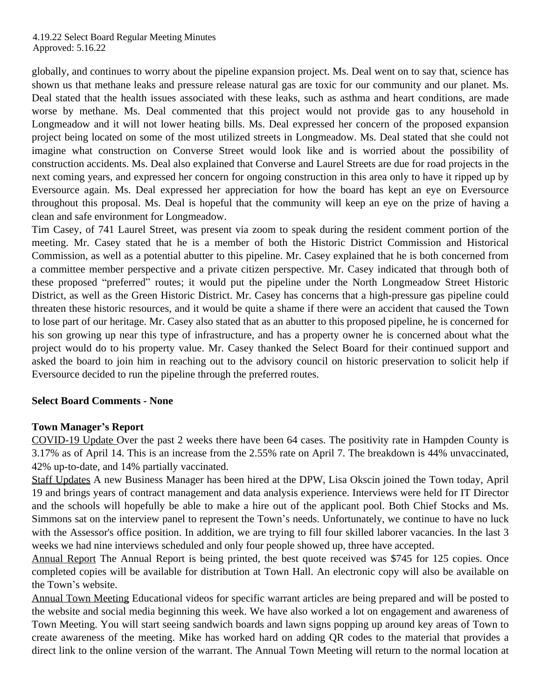#### 4.19.22 Select Board Regular Meeting Minutes Approved: 5.16.22

globally, and continues to worry about the pipeline expansion project. Ms. Deal went on to say that, science has shown us that methane leaks and pressure release natural gas are toxic for our community and our planet. Ms. Deal stated that the health issues associated with these leaks, such as asthma and heart conditions, are made worse by methane. Ms. Deal commented that this project would not provide gas to any household in Longmeadow and it will not lower heating bills. Ms. Deal expressed her concern of the proposed expansion project being located on some of the most utilized streets in Longmeadow. Ms. Deal stated that she could not imagine what construction on Converse Street would look like and is worried about the possibility of construction accidents. Ms. Deal also explained that Converse and Laurel Streets are due for road projects in the next coming years, and expressed her concern for ongoing construction in this area only to have it ripped up by Eversource again. Ms. Deal expressed her appreciation for how the board has kept an eye on Eversource throughout this proposal. Ms. Deal is hopeful that the community will keep an eye on the prize of having a clean and safe environment for Longmeadow.

Tim Casey, of 741 Laurel Street, was present via zoom to speak during the resident comment portion of the meeting. Mr. Casey stated that he is a member of both the Historic District Commission and Historical Commission, as well as a potential abutter to this pipeline. Mr. Casey explained that he is both concerned from a committee member perspective and a private citizen perspective. Mr. Casey indicated that through both of these proposed "preferred" routes; it would put the pipeline under the North Longmeadow Street Historic District, as well as the Green Historic District. Mr. Casey has concerns that a high-pressure gas pipeline could threaten these historic resources, and it would be quite a shame if there were an accident that caused the Town to lose part of our heritage. Mr. Casey also stated that as an abutter to this proposed pipeline, he is concerned for his son growing up near this type of infrastructure, and has a property owner he is concerned about what the project would do to his property value. Mr. Casey thanked the Select Board for their continued support and asked the board to join him in reaching out to the advisory council on historic preservation to solicit help if Eversource decided to run the pipeline through the preferred routes.

## **Select Board Comments - None**

## **Town Manager's Report**

COVID-19 Update Over the past 2 weeks there have been 64 cases. The positivity rate in Hampden County is 3.17% as of April 14. This is an increase from the 2.55% rate on April 7. The breakdown is 44% unvaccinated, 42% up-to-date, and 14% partially vaccinated.

Staff Updates A new Business Manager has been hired at the DPW, Lisa Okscin joined the Town today, April 19 and brings years of contract management and data analysis experience. Interviews were held for IT Director and the schools will hopefully be able to make a hire out of the applicant pool. Both Chief Stocks and Ms. Simmons sat on the interview panel to represent the Town's needs. Unfortunately, we continue to have no luck with the Assessor's office position. In addition, we are trying to fill four skilled laborer vacancies. In the last 3 weeks we had nine interviews scheduled and only four people showed up, three have accepted.

Annual Report The Annual Report is being printed, the best quote received was \$745 for 125 copies. Once completed copies will be available for distribution at Town Hall. An electronic copy will also be available on the Town's website.

Annual Town Meeting Educational videos for specific warrant articles are being prepared and will be posted to the website and social media beginning this week. We have also worked a lot on engagement and awareness of Town Meeting. You will start seeing sandwich boards and lawn signs popping up around key areas of Town to create awareness of the meeting. Mike has worked hard on adding QR codes to the material that provides a direct link to the online version of the warrant. The Annual Town Meeting will return to the normal location at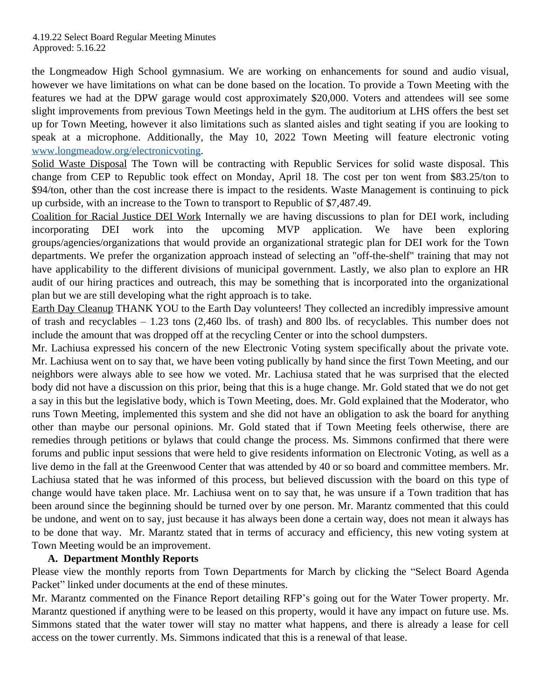the Longmeadow High School gymnasium. We are working on enhancements for sound and audio visual, however we have limitations on what can be done based on the location. To provide a Town Meeting with the features we had at the DPW garage would cost approximately \$20,000. Voters and attendees will see some slight improvements from previous Town Meetings held in the gym. The auditorium at LHS offers the best set up for Town Meeting, however it also limitations such as slanted aisles and tight seating if you are looking to speak at a microphone. Additionally, the May 10, 2022 Town Meeting will feature electronic voting [www.longmeadow.org/electronicvoting](http://www.longmeadow.org/electronicvoting).

Solid Waste Disposal The Town will be contracting with Republic Services for solid waste disposal. This change from CEP to Republic took effect on Monday, April 18. The cost per ton went from \$83.25/ton to \$94/ton, other than the cost increase there is impact to the residents. Waste Management is continuing to pick up curbside, with an increase to the Town to transport to Republic of \$7,487.49.

Coalition for Racial Justice DEI Work Internally we are having discussions to plan for DEI work, including incorporating DEI work into the upcoming MVP application. We have been exploring groups/agencies/organizations that would provide an organizational strategic plan for DEI work for the Town departments. We prefer the organization approach instead of selecting an "off-the-shelf" training that may not have applicability to the different divisions of municipal government. Lastly, we also plan to explore an HR audit of our hiring practices and outreach, this may be something that is incorporated into the organizational plan but we are still developing what the right approach is to take.

Earth Day Cleanup THANK YOU to the Earth Day volunteers! They collected an incredibly impressive amount of trash and recyclables – 1.23 tons (2,460 lbs. of trash) and 800 lbs. of recyclables. This number does not include the amount that was dropped off at the recycling Center or into the school dumpsters.

Mr. Lachiusa expressed his concern of the new Electronic Voting system specifically about the private vote. Mr. Lachiusa went on to say that, we have been voting publically by hand since the first Town Meeting, and our neighbors were always able to see how we voted. Mr. Lachiusa stated that he was surprised that the elected body did not have a discussion on this prior, being that this is a huge change. Mr. Gold stated that we do not get a say in this but the legislative body, which is Town Meeting, does. Mr. Gold explained that the Moderator, who runs Town Meeting, implemented this system and she did not have an obligation to ask the board for anything other than maybe our personal opinions. Mr. Gold stated that if Town Meeting feels otherwise, there are remedies through petitions or bylaws that could change the process. Ms. Simmons confirmed that there were forums and public input sessions that were held to give residents information on Electronic Voting, as well as a live demo in the fall at the Greenwood Center that was attended by 40 or so board and committee members. Mr. Lachiusa stated that he was informed of this process, but believed discussion with the board on this type of change would have taken place. Mr. Lachiusa went on to say that, he was unsure if a Town tradition that has been around since the beginning should be turned over by one person. Mr. Marantz commented that this could be undone, and went on to say, just because it has always been done a certain way, does not mean it always has to be done that way. Mr. Marantz stated that in terms of accuracy and efficiency, this new voting system at Town Meeting would be an improvement.

## **A. Department Monthly Reports**

Please view the monthly reports from Town Departments for March by clicking the "Select Board Agenda Packet" linked under documents at the end of these minutes.

Mr. Marantz commented on the Finance Report detailing RFP's going out for the Water Tower property. Mr. Marantz questioned if anything were to be leased on this property, would it have any impact on future use. Ms. Simmons stated that the water tower will stay no matter what happens, and there is already a lease for cell access on the tower currently. Ms. Simmons indicated that this is a renewal of that lease.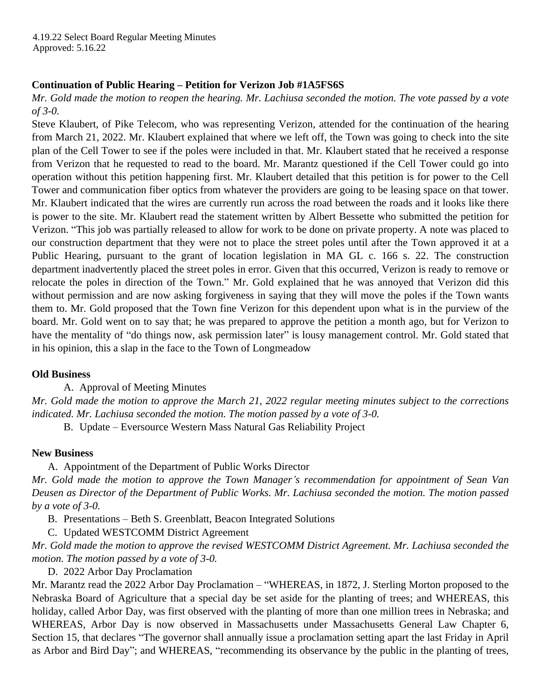## **Continuation of Public Hearing – Petition for Verizon Job #1A5FS6S**

Mr. Gold made the motion to reopen the hearing. Mr. Lachiusa seconded the motion. The vote passed by a vote *of 3-0.* 

Steve Klaubert, of Pike Telecom, who was representing Verizon, attended for the continuation of the hearing from March 21, 2022. Mr. Klaubert explained that where we left off, the Town was going to check into the site plan of the Cell Tower to see if the poles were included in that. Mr. Klaubert stated that he received a response from Verizon that he requested to read to the board. Mr. Marantz questioned if the Cell Tower could go into operation without this petition happening first. Mr. Klaubert detailed that this petition is for power to the Cell Tower and communication fiber optics from whatever the providers are going to be leasing space on that tower. Mr. Klaubert indicated that the wires are currently run across the road between the roads and it looks like there is power to the site. Mr. Klaubert read the statement written by Albert Bessette who submitted the petition for Verizon. "This job was partially released to allow for work to be done on private property. A note was placed to our construction department that they were not to place the street poles until after the Town approved it at a Public Hearing, pursuant to the grant of location legislation in MA GL c. 166 s. 22. The construction department inadvertently placed the street poles in error. Given that this occurred, Verizon is ready to remove or relocate the poles in direction of the Town." Mr. Gold explained that he was annoyed that Verizon did this without permission and are now asking forgiveness in saying that they will move the poles if the Town wants them to. Mr. Gold proposed that the Town fine Verizon for this dependent upon what is in the purview of the board. Mr. Gold went on to say that; he was prepared to approve the petition a month ago, but for Verizon to have the mentality of "do things now, ask permission later" is lousy management control. Mr. Gold stated that in his opinion, this a slap in the face to the Town of Longmeadow

## **Old Business**

A. Approval of Meeting Minutes

Mr. Gold made the motion to approve the March 21, 2022 regular meeting minutes subject to the corrections *indicated. Mr. Lachiusa seconded the motion. The motion passed by a vote of 3-0.*

B. Update – Eversource Western Mass Natural Gas Reliability Project

#### **New Business**

A. Appointment of the Department of Public Works Director *Mr. Gold made the motion to approve the Town Manager's recommendation for appointment of Sean Van Deusen as Director of the Department of Public Works. Mr. Lachiusa seconded the motion. The motion passed by a vote of 3-0.* 

B. Presentations – Beth S. Greenblatt, Beacon Integrated Solutions

C. Updated WESTCOMM District Agreement

*Mr. Gold made the motion to approve the revised WESTCOMM District Agreement. Mr. Lachiusa seconded the motion. The motion passed by a vote of 3-0.* 

D. 2022 Arbor Day Proclamation

Mr. Marantz read the 2022 Arbor Day Proclamation – "WHEREAS, in 1872, J. Sterling Morton proposed to the Nebraska Board of Agriculture that a special day be set aside for the planting of trees; and WHEREAS, this holiday, called Arbor Day, was first observed with the planting of more than one million trees in Nebraska; and WHEREAS, Arbor Day is now observed in Massachusetts under Massachusetts General Law Chapter 6, Section 15, that declares "The governor shall annually issue a proclamation setting apart the last Friday in April as Arbor and Bird Day"; and WHEREAS, "recommending its observance by the public in the planting of trees,